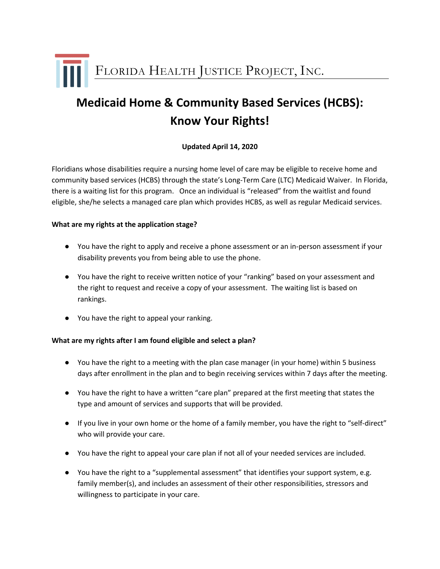FLORIDA HEALTH JUSTICE PROJECT, INC.

# **Medicaid Home & Community Based Services (HCBS): Know Your Rights!**

# **Updated April 14, 2020**

Floridians whose disabilities require a nursing home level of care may be eligible to receive home and community based services (HCBS) through the state's Long-Term Care (LTC) Medicaid Waiver. In Florida, there is a waiting list for this program. Once an individual is "released" from the waitlist and found eligible, she/he selects a managed care plan which provides HCBS, as well as regular Medicaid services.

#### **What are my rights at the application stage?**

- You have the right to apply and receive a phone assessment or an in-person assessment if your disability prevents you from being able to use the phone.
- You have the right to receive written notice of your "ranking" based on your assessment and the right to request and receive a copy of your assessment. The waiting list is based on rankings.
- You have the right to appeal your ranking.

## **What are my rights after I am found eligible and select a plan?**

- You have the right to a meeting with the plan case manager (in your home) within 5 business days after enrollment in the plan and to begin receiving services within 7 days after the meeting.
- You have the right to have a written "care plan" prepared at the first meeting that states the type and amount of services and supports that will be provided.
- If you live in your own home or the home of a family member, you have the right to "self-direct" who will provide your care.
- You have the right to appeal your care plan if not all of your needed services are included.
- You have the right to a "supplemental assessment" that identifies your support system, e.g. family member(s), and includes an assessment of their other responsibilities, stressors and willingness to participate in your care.